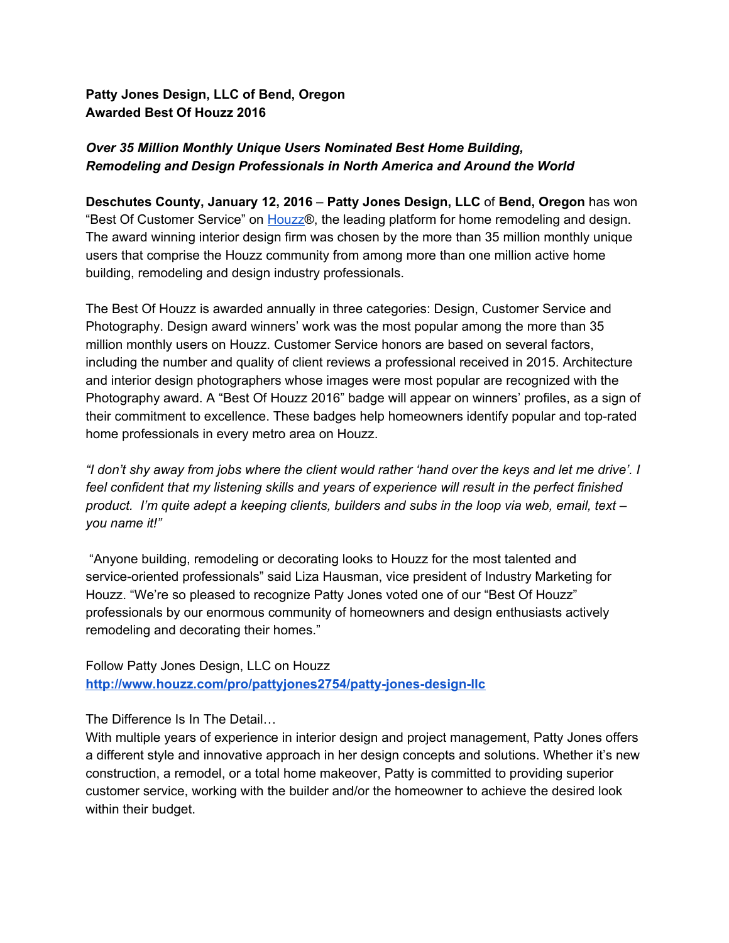**Patty Jones Design, LLC of Bend, Oregon Awarded Best Of Houzz 2016**

## *Over 35 Million Monthly Unique Users Nominated Best Home Building, Remodeling and Design Professionals in North America and Around the World*

**Deschutes County, January 12, 2016**– **Patty Jones Design, LLC** of **Bend, Oregon** has won "Best Of Customer Service" o[n](http://www.houzz.com/) [Houzz®](http://www.houzz.com/), the leading platform for home remodeling and design. The award winning interior design firm was chosen by the more than 35 million monthly unique users that comprise the Houzz community from among more than one million active home building, remodeling and design industry professionals.

The Best Of Houzz is awarded annually in three categories: Design, Customer Service and Photography. Design award winners' work was the most popular among the more than 35 million monthly users on Houzz. Customer Service honors are based on several factors, including the number and quality of client reviews a professional received in 2015. Architecture and interior design photographers whose images were most popular are recognized with the Photography award. A "Best Of Houzz 2016" badge will appear on winners' profiles, as a sign of their commitment to excellence. These badges help homeowners identify popular and top-rated home professionals in every metro area on Houzz.

"I don't shy away from jobs where the client would rather 'hand over the keys and let me drive'. I *feel confident that my listening skills and years of experience will result in the perfect finished product. I'm quite adept a keeping clients, builders and subs in the loop via web, email, text – you name it!"*

"Anyone building, remodeling or decorating looks to Houzz for the most talented and service-oriented professionals" said Liza Hausman, vice president of Industry Marketing for Houzz. "We're so pleased to recognize Patty Jones voted one of our "Best Of Houzz" professionals by our enormous community of homeowners and design enthusiasts actively remodeling and decorating their homes."

Follow Patty Jones Design, LLC on Houz[z](http://www.houzz.com/pro/pattyjones2754/patty-jones-design-llc) http://www.houzz.com/pro/pattyjones2754/patty-jones-design-llc

The Difference Is In The Detail…

With multiple years of experience in interior design and project management, Patty Jones offers a different style and innovative approach in her design concepts and solutions. Whether it's new construction, a remodel, or a total home makeover, Patty is committed to providing superior customer service, working with the builder and/or the homeowner to achieve the desired look within their budget.